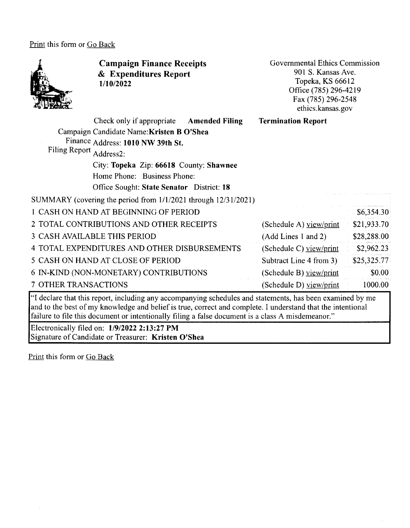Print this form or Go Back



and to the best of my knowledge and belief is true, correct and complete. I understand that the intentional failure to file this document or intentionally filing a false document is a class A misdemeanor."

Electronically filed on: **1/9/2022 2:13:27 PM**  Signature of Candidate or Treasurer: **Kristen O'Shea**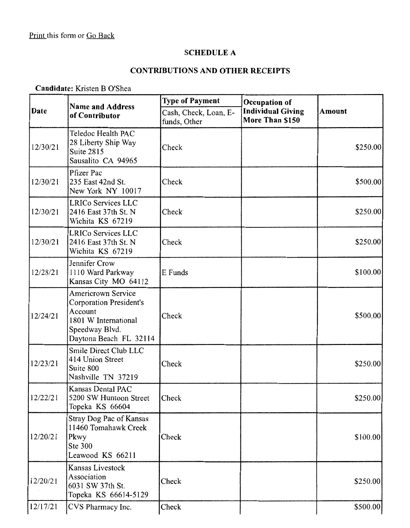#### **SCHEDULE A**

#### **CONTRIBUTIONS AND OTHER RECEIPTS**

**Candidate:** Kristen **B** O'Shea

|          | <b>Name and Address</b>                                                                                                                    | <b>Type of Payment</b><br>Occupation of |                                             |           |
|----------|--------------------------------------------------------------------------------------------------------------------------------------------|-----------------------------------------|---------------------------------------------|-----------|
| Date     | of Contributor                                                                                                                             | Cash, Check, Loan, E-<br>funds, Other   | <b>Individual Giving</b><br>More Than \$150 | Amount    |
| 12/30/21 | Teledoc Health PAC<br>28 Liberty Ship Way<br>Suite 2815<br>Sausalito CA 94965                                                              | Check                                   |                                             | \$250.00] |
| 12/30/21 | Pfizer Pac<br>235 East 42nd St.<br>New York NY 10017                                                                                       | Check                                   |                                             | \$500.00  |
| 12/30/21 | LRICo Services LLC<br>2416 East 37th St. N<br>Wichita KS 67219                                                                             | Check                                   |                                             | \$250.00  |
| 12/30/21 | LRICo Services LLC<br>2416 East 37th St. N<br>Wichita KS 67219                                                                             | Check                                   |                                             | \$250.00  |
| 12/28/21 | Jennifer Crow<br>1110 Ward Parkway<br>Kansas City MO 64112                                                                                 | E Funds                                 |                                             | \$100.00] |
| 12/24/21 | <b>Americrown Service</b><br><b>Corporation President's</b><br>Account<br>1801 W International<br>Speedway Blvd.<br>Daytona Beach FL 32114 | Check                                   |                                             | \$500.00  |
| 12/23/21 | Smile Direct Club LLC<br>414 Union Street<br>Suite 800<br>Nashville TN 37219                                                               | Check                                   |                                             | \$250.00  |
| 12/22/21 | Kansas Dental PAC<br>5200 SW Huntoon Street<br>Topeka KS 66604                                                                             | Check                                   |                                             | \$250.00] |
| 12/20/21 | Stray Dog Pac of Kansas<br>11460 Tomahawk Creek<br>Pkwy<br>Ste 300<br>Leawood KS 66211                                                     | Check                                   |                                             | \$100.00  |
| 12/20/21 | Kansas Livestock<br>Association<br>6031 SW 37th St.<br>Topeka KS 66614-5129                                                                | Check                                   |                                             | \$250.00  |
| 12/17/21 | CVS Pharmacy Inc.                                                                                                                          | Check                                   |                                             | \$500.00  |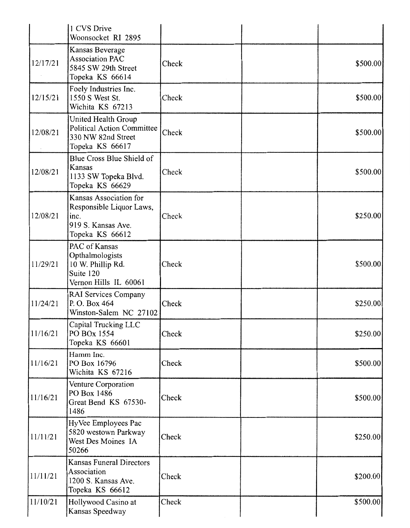|          | 1 CVS Drive<br>Woonsocket RI 2895                                                                   |       |           |
|----------|-----------------------------------------------------------------------------------------------------|-------|-----------|
| 12/17/21 | Kansas Beverage<br><b>Association PAC</b><br>5845 SW 29th Street<br>Topeka KS 66614                 | Check | \$500.00  |
| 12/15/21 | Foely Industries Inc.<br>1550 S West St.<br>Wichita KS 67213                                        | Check | \$500.00  |
| 12/08/21 | United Health Group<br>Political Action Committee<br>330 NW 82nd Street<br>Topeka KS 66617          | Check | \$500.00  |
| 12/08/21 | Blue Cross Blue Shield of<br>Kansas<br>1133 SW Topeka Blvd.<br>Topeka KS 66629                      | Check | \$500.00  |
| 12/08/21 | Kansas Association for<br>Responsible Liquor Laws,<br>inc.<br>919 S. Kansas Ave.<br>Topeka KS 66612 | Check | \$250.00] |
| 11/29/21 | PAC of Kansas<br>Opthalmologists<br>10 W. Phillip Rd.<br>Suite 120<br>Vernon Hills IL 60061         | Check | \$500.00  |
| 11/24/21 | RAI Services Company<br>P.O. Box 464<br>Winston-Salem NC 27102                                      | Check | \$250.00  |
| 11/16/21 | Capital Trucking LLC<br>PO BOx 1554<br>Topeka KS 66601                                              | Check | \$250.00  |
| 11/16/21 | Hamm Inc.<br>PO Box 16796<br>Wichita KS 67216                                                       | Check | \$500.00  |
| 11/16/21 | Venture Corporation<br>PO Box 1486<br>Great Bend KS 67530-<br>1486                                  | Check | \$500.00  |
| 11/11/21 | HyVee Employees Pac<br>5820 westown Parkway<br>West Des Moines IA<br>50266                          | Check | \$250.00  |
| 11/11/21 | <b>Kansas Funeral Directors</b><br>Association<br>1200 S. Kansas Ave.<br>Topeka KS 66612            | Check | \$200.00  |
| 11/10/21 | Hollywood Casino at<br>Kansas Speedway                                                              | Check | \$500.00  |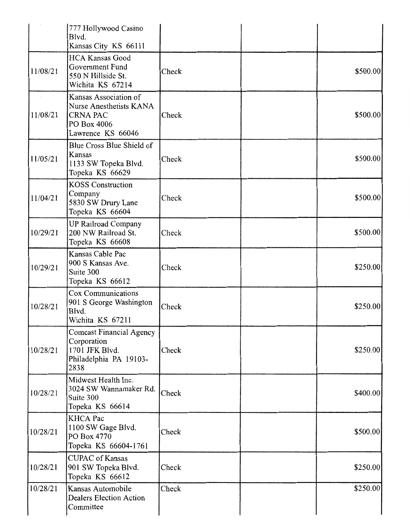|          | 777 Hollywood Casino<br>Blvd.<br>Kansas City KS 66111                                                   |       |           |
|----------|---------------------------------------------------------------------------------------------------------|-------|-----------|
| 11/08/21 | <b>HCA Kansas Good</b><br>Government Fund<br>550 N Hillside St.<br>Wichita KS 67214                     | Check | \$500.00  |
| 11/08/21 | Kansas Association of<br>Nurse Anesthetists KANA<br><b>CRNA PAC</b><br>PO Box 4006<br>Lawrence KS 66046 | Check | \$500.00  |
| 11/05/21 | Blue Cross Blue Shield of<br>Kansas<br>1133 SW Topeka Blvd.<br>Topeka KS 66629                          | Check | \$500.00  |
| 11/04/21 | <b>KOSS</b> Construction<br>Company<br>5830 SW Drury Lane<br>Topeka KS 66604                            | Check | \$500.00  |
| 10/29/21 | <b>UP Railroad Company</b><br>200 NW Railroad St.<br>Topeka KS 66608                                    | Check | \$500.00  |
| 10/29/21 | Kansas Cable Pac<br>900 S Kansas Ave.<br>Suite 300<br>Topeka KS 66612                                   | Check | \$250.00] |
| 10/28/21 | Cox Communications<br>901 S George Washington<br>Blvd.<br>Wichita KS 67211                              | Check | \$250.00  |
| 10/28/21 | <b>Comcast Financial Agency</b><br>Corporation<br>1701 JFK Blvd.<br>Philadelphia PA 19103-<br>2838      | Check | \$250.00  |
| 10/28/21 | Midwest Health Inc.<br>3024 SW Wannamaker Rd.<br>Suite 300<br>Topeka KS 66614                           | Check | \$400.00  |
| 10/28/21 | <b>KHCA Pac</b><br>1100 SW Gage Blvd.<br>PO Box 4770<br>Topeka KS 66604-1761                            | Check | \$500.00  |
| 10/28/21 | <b>CUPAC</b> of Kansas<br>901 SW Topeka Blvd.<br>Topeka KS 66612                                        | Check | \$250.00] |
| 10/28/21 | Kansas Automobile<br><b>Dealers Election Action</b><br>Committee                                        | Check | \$250.00  |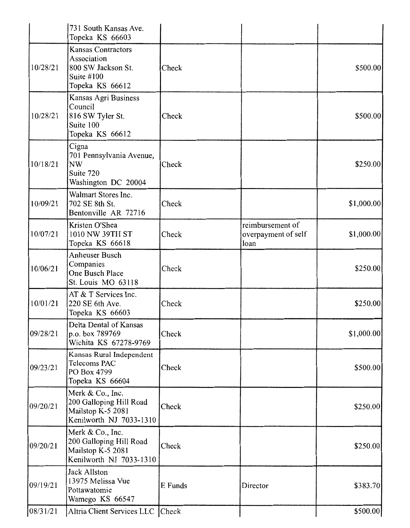| 08/31/21  | Altria Client Services LLC Check                                                                  |         |                                                 | \$500.00   |
|-----------|---------------------------------------------------------------------------------------------------|---------|-------------------------------------------------|------------|
| 09/19/21  | Jack Allston<br>13975 Melissa Vue<br>Pottawatomie<br>Wamego KS 66547                              | E Funds | Director                                        | \$383.70   |
| 09/20/21  | Merk & Co., Inc.<br>200 Galloping Hill Road<br>Mailstop K-5 2081<br>Kenilworth NJ 7033-1310       | Check   |                                                 | \$250.00   |
| 09/20/21  | Merk & Co., Inc.<br>200 Galloping Hill Road<br>Mailstop K-5 2081<br>Kenilworth NJ 7033-1310       | Check   |                                                 | \$250.00   |
| 109/23/21 | Kansas Rural Independent<br>Telecoms PAC<br>PO Box 4799<br>Topeka KS 66604                        | Check   |                                                 | \$500.00   |
| 09/28/21  | Delta Dental of Kansas<br>p.o. box 789769<br>Wichita KS 67278-9769                                | Check   |                                                 | \$1,000.00 |
| 10/01/21  | AT & T Services Inc.<br>220 SE 6th Ave.<br>Topeka KS 66603                                        | Check   |                                                 | \$250.00   |
| 10/06/21  | Anheuser Busch<br>Companies<br>One Busch Place<br>St. Louis MO 63118                              | Check   |                                                 | \$250.00]  |
| 10/07/21  | Kristen O'Shea<br>1010 NW 39TH ST<br>Topeka KS 66618                                              | Check   | reimbursement of<br>overpayment of self<br>loan | \$1,000.00 |
| 10/09/21  | Walmart Stores Inc.<br>702 SE 8th St.<br>Bentonville AR 72716                                     | Check   |                                                 | \$1,000.00 |
| 10/18/21  | Cigna<br>701 Pennsylvania Avenue,<br><b>NW</b><br>Suite 720<br>Washington DC 20004                | Check   |                                                 | \$250.00   |
| 10/28/21  | Kansas Agri Business<br>Council<br>816 SW Tyler St.<br>Suite 100<br>Topeka KS 66612               | Check   |                                                 | \$500.00   |
| 10/28/21  | <b>Kansas Contractors</b><br>Association<br>800 SW Jackson St.<br>Suite $#100$<br>Topeka KS 66612 | Check   |                                                 | \$500.00   |
|           | 731 South Kansas Ave.<br>Topeka KS 66603                                                          |         |                                                 |            |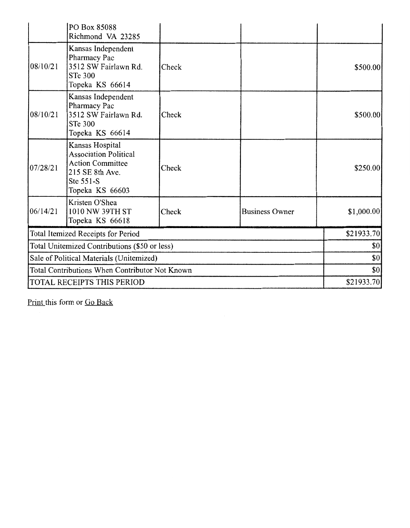|                                                | PO Box 85088<br>Richmond VA 23285                                                                                             |       |                       |             |
|------------------------------------------------|-------------------------------------------------------------------------------------------------------------------------------|-------|-----------------------|-------------|
| 08/10/21                                       | Kansas Independent<br>Pharmacy Pac<br>3512 SW Fairlawn Rd.<br><b>STe 300</b><br>Topeka KS 66614                               | Check |                       | \$500.00    |
| 08/10/21                                       | Kansas Independent<br>Pharmacy Pac<br>3512 SW Fairlawn Rd.<br><b>STe 300</b><br>Topeka KS 66614                               | Check |                       | \$500.00    |
| 07/28/21                                       | Kansas Hospital<br><b>Association Political</b><br><b>Action Committee</b><br>215 SE 8th Ave.<br>Ste 551-S<br>Topeka KS 66603 | Check |                       | \$250.00    |
| 06/14/21                                       | Kristen O'Shea<br>1010 NW 39TH ST<br>Topeka KS 66618                                                                          | Check | <b>Business Owner</b> | \$1,000.00] |
|                                                | Total Itemized Receipts for Period                                                                                            |       |                       | \$21933.70  |
|                                                | Total Unitemized Contributions (\$50 or less)                                                                                 |       |                       | \$0         |
| Sale of Political Materials (Unitemized)       |                                                                                                                               |       | \$0                   |             |
| Total Contributions When Contributor Not Known |                                                                                                                               |       | \$0                   |             |
| TOTAL RECEIPTS THIS PERIOD                     |                                                                                                                               |       |                       | \$21933.70] |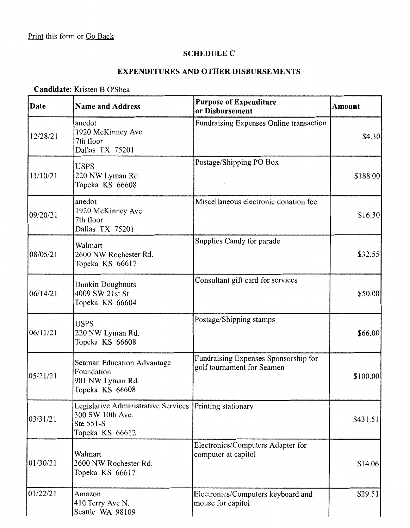# **SCHEDULE C**

# **EXPENDITURES AND OTHER DISBURSEMENTS**

### **Candidate:** Kristen B O'Shea

| Date     | <b>Name and Address</b>                                                                                     | <b>Purpose of Expenditure</b><br>or Disbursement                   | <b>Amount</b> |
|----------|-------------------------------------------------------------------------------------------------------------|--------------------------------------------------------------------|---------------|
| 12/28/21 | anedot<br>1920 McKinney Ave<br>7th floor<br>Dallas TX 75201                                                 | Fundraising Expenses Online transaction                            | \$4.30        |
| 11/10/21 | <b>USPS</b><br>220 NW Lyman Rd.<br>Topeka KS 66608                                                          | Postage/Shipping PO Box                                            | \$188.00      |
| 09/20/21 | anedot<br>1920 McKinney Ave<br>7th floor<br>Dallas TX 75201                                                 | Miscellaneous electronic donation fee                              | \$16.30       |
| 08/05/21 | Walmart<br>2600 NW Rochester Rd.<br>Topeka KS 66617                                                         | Supplies Candy for parade                                          | \$32.55       |
| 06/14/21 | Dunkin Doughnuts<br>4009 SW 21st St<br>Topeka KS 66604                                                      | Consultant gift card for services                                  | \$50.00       |
| 06/11/21 | <b>USPS</b><br>220 NW Lyman Rd.<br>Topeka KS 66608                                                          | Postage/Shipping stamps                                            | \$66.00       |
| 05/21/21 | Seaman Education Advantage<br>Foundation<br>901 NW Lyman Rd.<br>Topeka KS 66608                             | Fundraising Expenses Sponsorship for<br>golf tournament for Seamen | \$100.00      |
| 03/31/21 | Legislative Administrative Services Printing stationary<br>300 SW 10th Ave.<br>Ste 551-S<br>Topeka KS 66612 |                                                                    | \$431.51      |
| 01/30/21 | Walmart<br>2600 NW Rochester Rd.<br>Topeka KS 66617                                                         | Electronics/Computers Adapter for<br>computer at capitol           | \$14.06       |
| 01/22/21 | Amazon<br>410 Terry Ave N.<br>Seattle WA 98109                                                              | Electronics/Computers keyboard and<br>mouse for capitol            | \$29.51       |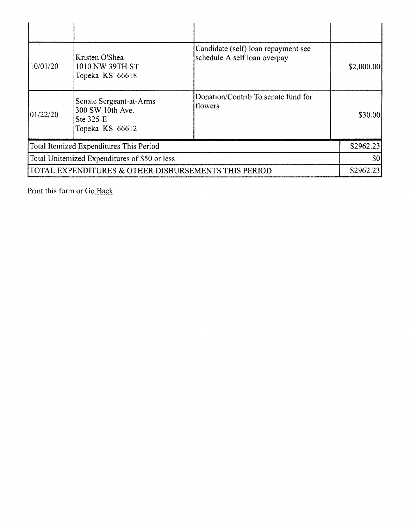| 10/01/20  | Kristen O'Shea<br>1010 NW 39TH ST<br>Topeka KS 66618                        | Candidate (self) loan repayment see<br>schedule A self loan overpay | \$2,000.00] |
|-----------|-----------------------------------------------------------------------------|---------------------------------------------------------------------|-------------|
| 101/22/20 | Senate Sergeant-at-Arms<br>300 SW 10th Ave.<br>Ste 325-E<br>Topeka KS 66612 | Donation/Contrib To senate fund for<br>flowers                      | \$30.00     |
|           | Total Itemized Expenditures This Period                                     |                                                                     | \$2962.23   |
|           | Total Unitemized Expenditures of \$50 or less                               |                                                                     | \$0         |
|           | TOTAL EXPENDITURES & OTHER DISBURSEMENTS THIS PERIOD                        |                                                                     | \$2962.23   |